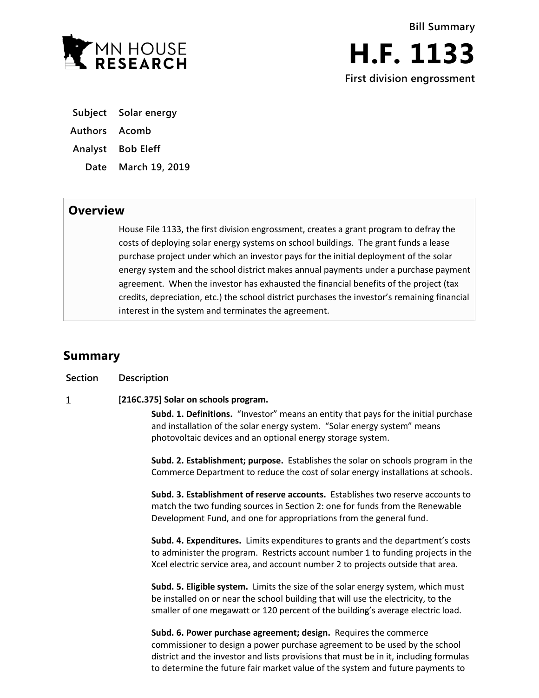

**H.F. 1133 First division engrossment**

**Subject Solar energy**

**Authors Acomb**

**Analyst Bob Eleff**

**Date March 19, 2019**

## **Overview**

House File 1133, the first division engrossment, creates a grant program to defray the costs of deploying solar energy systems on school buildings. The grant funds a lease purchase project under which an investor pays for the initial deployment of the solar energy system and the school district makes annual payments under a purchase payment agreement. When the investor has exhausted the financial benefits of the project (tax credits, depreciation, etc.) the school district purchases the investor's remaining financial interest in the system and terminates the agreement.

## **Summary**

| <b>Section</b> | <b>Description</b>                                                                                                                                                                                                                                                                                                        |
|----------------|---------------------------------------------------------------------------------------------------------------------------------------------------------------------------------------------------------------------------------------------------------------------------------------------------------------------------|
| $\mathbf{1}$   | [216C.375] Solar on schools program.                                                                                                                                                                                                                                                                                      |
|                | Subd. 1. Definitions. "Investor" means an entity that pays for the initial purchase<br>and installation of the solar energy system. "Solar energy system" means<br>photovoltaic devices and an optional energy storage system.                                                                                            |
|                | Subd. 2. Establishment; purpose. Establishes the solar on schools program in the<br>Commerce Department to reduce the cost of solar energy installations at schools.                                                                                                                                                      |
|                | Subd. 3. Establishment of reserve accounts. Establishes two reserve accounts to<br>match the two funding sources in Section 2: one for funds from the Renewable<br>Development Fund, and one for appropriations from the general fund.                                                                                    |
|                | Subd. 4. Expenditures. Limits expenditures to grants and the department's costs<br>to administer the program. Restricts account number 1 to funding projects in the<br>Xcel electric service area, and account number 2 to projects outside that area.                                                                    |
|                | Subd. 5. Eligible system. Limits the size of the solar energy system, which must<br>be installed on or near the school building that will use the electricity, to the<br>smaller of one megawatt or 120 percent of the building's average electric load.                                                                  |
|                | Subd. 6. Power purchase agreement; design. Requires the commerce<br>commissioner to design a power purchase agreement to be used by the school<br>district and the investor and lists provisions that must be in it, including formulas<br>to determine the future fair market value of the system and future payments to |